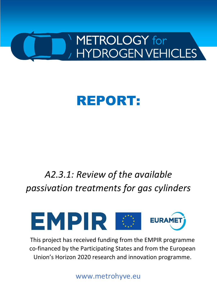

# REPORT:

# *A2.3.1: Review of the available passivation treatments for gas cylinders*



This project has received funding from the EMPIR programme co-financed by the Participating States and from the European Union's Horizon 2020 research and innovation programme.

www.metrohyve.eu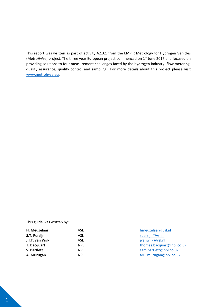This report was written as part of activity A2.3.1 from the EMPIR Metrology for Hydrogen Vehicles (MetroHyVe) project. The three year European project commenced on 1<sup>st</sup> June 2017 and focused on providing solutions to four measurement challenges faced by the hydrogen industry (flow metering, quality assurance, quality control and sampling). For more details about this project please visit [www.metrohyve.eu.](http://www.metrohyve.eu/)

#### This guide was written by:

| H. Meuzelaar    | VSL        | hmeuzelaar@vsl.nl         |
|-----------------|------------|---------------------------|
| S.T. Persijn    | VSL        | spersijn@vsl.nl           |
| J.I.T. van Wijk | VSL        | jvanwijk@vsl.nl           |
| T. Bacquart     | <b>NPL</b> | thomas.bacquart@npl.co.uk |
| S. Bartlett     | <b>NPL</b> | sam.bartlett@npl.co.uk    |
| A. Murugan      | <b>NPL</b> | arul.murugan@npl.co.uk    |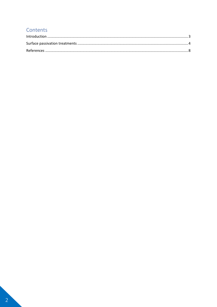# Contents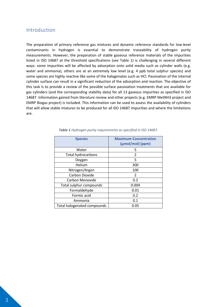### <span id="page-3-0"></span>Introduction

The preparation of primary reference gas mixtures and dynamic reference standards for low-level contaminants in hydrogen is essential to demonstrate traceability of hydrogen purity measurements. However, the preparation of stable gaseous reference materials of the impurities listed in ISO 14687 at the threshold specifications (see [Table 1\)](#page-3-1) is challenging in several different ways: some impurities will be affected by adsorption onto solid media such as cylinder walls (e.g. water and ammonia), others are at an extremely low level (e.g. 4 ppb total sulphur species) and some species are highly reactive like some of the halogenates such as HCl. Passivation of the internal cylinder surface can result in a significant reduction of the adsorption and reaction. The objective of this task is to provide a review of the possible surface passivation treatments that are available for gas cylinders (and the corresponding stability data) for all 13 gaseous impurities as specified in ISO 14687. Information gained from literature review and other projects (e.g. EMRP MetNH3 project and EMRP Biogas project) is included. This information can be used to assess the availability of cylinders that will allow stable mixtures to be produced for all ISO 14687 impurities and where the limitations are.

<span id="page-3-1"></span>

| <b>Species</b>              | <b>Maximum Concentration</b><br>$(\mu$ mol/mol $)$ (ppm) |
|-----------------------------|----------------------------------------------------------|
| Water                       | 5                                                        |
| <b>Total hydrocarbons</b>   | $\overline{2}$                                           |
| Oxygen                      | 5                                                        |
| Helium                      | 300                                                      |
| Nitrogen/Argon              | 100                                                      |
| Carbon Dioxide              | 2                                                        |
| Carbon Monoxide             | 0.2                                                      |
| Total sulphur compounds     | 0.004                                                    |
| Formaldehyde                | 0.01                                                     |
| Formic acid                 | 0.2                                                      |
| Ammonia                     | 0.1                                                      |
| Total halogenated compounds | 0.05                                                     |

#### *Table 1 Hydrogen purity requirements as specified in ISO 14687.*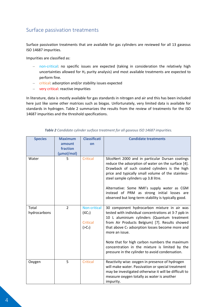# <span id="page-4-0"></span>Surface passivation treatments

Surface passivation treatments that are available for gas cylinders are reviewed for all 13 gaseous ISO 14687 impurities.

Impurities are classified as:

- non-critical: no specific issues are expected (taking in consideration the relatively high uncertainties allowed for  $H_2$  purity analysis) and most available treatments are expected to perform fine.
- critical: adsorption and/or stability issues expected
- very critical: reactive impurities

In literature, data is mostly available for gas standards in nitrogen and air and this has been included here just like some other matrices such as biogas. Unfortunately, very limited data is available for standards in hydrogen. [Table 2](#page-4-1) summarizes the results from the review of treatments for the ISO 14687 impurities and the threshold specifications.

<span id="page-4-1"></span>

| <b>Species</b>        | <b>Maximum</b><br>amount<br>fraction<br>(µmol/mol) | <b>Classificati</b><br>on                                             | <b>Candidate treatments</b>                                                                                                                                                                                                                                                                                                                                                                                                                |
|-----------------------|----------------------------------------------------|-----------------------------------------------------------------------|--------------------------------------------------------------------------------------------------------------------------------------------------------------------------------------------------------------------------------------------------------------------------------------------------------------------------------------------------------------------------------------------------------------------------------------------|
| Water                 | 5                                                  | <b>Critical</b>                                                       | SilcoNert 2000 and in particular Dursan coatings<br>reduce the adsorption of water on the surface [4].<br>Drawback of such coated cylinders is the high<br>price and typically small volume of the stainless-<br>steel sample cylinders up 3.8 litre.                                                                                                                                                                                      |
|                       |                                                    |                                                                       | Alternative: Some NMI's supply water as CGM<br>instead of PRM as strong initial losses are<br>observed but long-term stability is typically good.                                                                                                                                                                                                                                                                                          |
| Total<br>hydrocarbons | $\overline{2}$                                     | Non-critical<br>(SC <sub>7</sub> )<br>Critical<br>( >C <sub>7</sub> ) | 30 component hydrocarbon mixture in air was<br>tested with individual concentrations at 3-7 ppb in<br>10 L aluminium cylinders (Quantum treatment<br>from Air Products Belgium) [7]. Results showed<br>that above C <sub>7</sub> adsorption losses become more and<br>more an issue.<br>Note that for high carbon numbers the maximum<br>concentration in the mixture is limited by the<br>pressure in the cylinder to avoid condensation. |
| Oxygen                | 5                                                  | <b>Critical</b>                                                       | Reactivity wise: oxygen in presence of hydrogen<br>will make water. Passivation or special treatment<br>may be investigated otherwise it will be difficult to<br>measure oxygen totally as water is another<br>impurity.                                                                                                                                                                                                                   |

*Table 2 Candidate cylinder surface treatment for all gaseous ISO 14687 impurities.*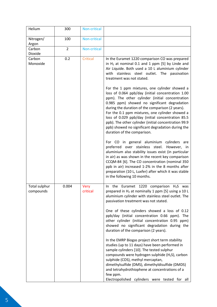| Helium                     | 300            | Non-critical            |                                                                                                                                                                                                                                                                                                                                                                                                                                                                                                                                                                                                                                                                                                                                                                                                                                                                                                                                                                                                                                                                                                                                                                 |
|----------------------------|----------------|-------------------------|-----------------------------------------------------------------------------------------------------------------------------------------------------------------------------------------------------------------------------------------------------------------------------------------------------------------------------------------------------------------------------------------------------------------------------------------------------------------------------------------------------------------------------------------------------------------------------------------------------------------------------------------------------------------------------------------------------------------------------------------------------------------------------------------------------------------------------------------------------------------------------------------------------------------------------------------------------------------------------------------------------------------------------------------------------------------------------------------------------------------------------------------------------------------|
| Nitrogen/<br>Argon         | 100            | Non-critical            |                                                                                                                                                                                                                                                                                                                                                                                                                                                                                                                                                                                                                                                                                                                                                                                                                                                                                                                                                                                                                                                                                                                                                                 |
| Carbon<br>Dioxide          | $\overline{2}$ | Non-critical            |                                                                                                                                                                                                                                                                                                                                                                                                                                                                                                                                                                                                                                                                                                                                                                                                                                                                                                                                                                                                                                                                                                                                                                 |
| Carbon<br>Monoxide         | 0.2            | <b>Critical</b>         | In the Euramet 1220 comparison CO was prepared<br>in $H_2$ at nominal 0.1 and 1 ppm [5] by Linde and<br>Air Liquide. Both used a 10 L aluminium cylinder<br>with stainless steel outlet. The passivation<br>treatment was not stated.<br>For the 1 ppm mixtures, one cylinder showed a<br>loss of 0.064 ppb/day (initial concentration 1.00<br>ppm). The other cylinder (initial concentration<br>0.985 ppm) showed no significant degradation<br>during the duration of the comparison (2 years).<br>For the 0.1 ppm mixtures, one cylinder showed a<br>loss of 0.029 ppb/day (initial concentration 85.5<br>ppb). The other cylinder (initial concentration 99.9<br>ppb) showed no significant degradation during the<br>duration of the comparison.<br>For CO in general aluminium cylinders are<br>preferred over stainless steel.<br>However, in<br>aluminium also stability issues exist (in particular<br>in air) as was shown in the recent key comparison<br>CCQM-84 [6]. The CO concentration (nominal 350<br>ppb in air) increased 1-2% in the 8 months after<br>preparation (10 L, Luxfer) after which it was stable<br>in the following 10 months. |
| Total sulphur<br>compounds | 0.004          | <b>Very</b><br>critical | In the Euramet 1220 comparison $H_2S$ was<br>prepared in H <sub>2</sub> at nominally 1 ppm [5] using a 10 L<br>aluminium cylinder with stainless steel outlet. The<br>passivation treatment was not stated.<br>One of these cylinders showed a loss of 0.12<br>ppb/day (initial concentration 0.66 ppm). The<br>other cylinder (initial concentration 0.95 ppm)<br>showed no significant degradation during the                                                                                                                                                                                                                                                                                                                                                                                                                                                                                                                                                                                                                                                                                                                                                 |
|                            |                |                         | duration of the comparison (2 years).<br>In the EMRP Biogas project short term stability<br>studies (up to 11 days) have been performed in<br>sample cylinders [10]. The tested sulphur<br>compounds were hydrogen sulphide (H <sub>2</sub> S), carbon<br>sulphide (COS), methyl mercaptan,<br>dimethylsulfide (DMS), dimethyldisulfide (DMDS)<br>and tetrahydrothiophene at concentrations of a<br>few ppm.<br>Electropolished cylinders were tested for all                                                                                                                                                                                                                                                                                                                                                                                                                                                                                                                                                                                                                                                                                                   |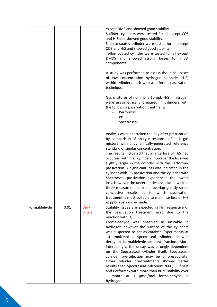|              |      |                  | except DMS and showed good stability.<br>Sulfinert cylinders were tested for all except COS<br>and H <sub>2</sub> S and showed good stability.<br>Silonite coated cylinder were tested for all except<br>COS and H <sub>2</sub> S and showed good stability<br>Teflon coated cylinder were tested for all except<br>DMDS and showed strong losses for most<br>components.                                                                                                                                                                                                                                                                                                                                                                                                      |
|--------------|------|------------------|--------------------------------------------------------------------------------------------------------------------------------------------------------------------------------------------------------------------------------------------------------------------------------------------------------------------------------------------------------------------------------------------------------------------------------------------------------------------------------------------------------------------------------------------------------------------------------------------------------------------------------------------------------------------------------------------------------------------------------------------------------------------------------|
|              |      |                  | A study was performed to assess the initial losses<br>of low concentration hydrogen sulphide (H <sub>2</sub> S)<br>within cylinders each with a different passivation<br>technique.                                                                                                                                                                                                                                                                                                                                                                                                                                                                                                                                                                                            |
|              |      |                  | Gas mixtures of nominally 10 ppb H <sub>2</sub> S in nitrogen<br>were gravimetrically prepared in cylinders with<br>the following passivation treatments:<br>Performax<br>PB<br>Spectraseal                                                                                                                                                                                                                                                                                                                                                                                                                                                                                                                                                                                    |
|              |      |                  | Analysis was undertaken the day after preparation<br>by comparison of analyte response of each gas<br>mixture with a dynamically-generated reference<br>standard of similar concentration.<br>The results indicated that a large loss of $H_2S$ had<br>occurred within all cylinders, however the loss was<br>slightly larger in the cylinder with the Performax<br>passivation. A significant loss was indicated in the<br>cylinder with PB passivation and the cylinder with<br>Spectraseal passivation experienced the lowest<br>loss. However the uncertainties associated with all<br>three measurement results overlap greatly so no<br>conclusive results as to which passivation<br>treatment is most suitable to minimise loss of $H_2S$<br>at ppb-level can be made. |
| Formaldehyde | 0.01 | Very<br>critical | Stability issues are expected in $H_2$ irrespective of<br>the passivation treatment used due to the<br>reaction with H <sub>2</sub> .<br>Formaldehyde was observed as unstable in<br>hydrogen however the surface of the cylinders<br>was suspected to act as catalyst. Experiments at<br>10 µmol/mol in Spectraseal cylinders showed<br>decay in formaldehyde amount fraction. More<br>interestingly, the decay was strongly dependent<br>on the Spectraseal cylinder itself. Spectraseal<br>cylinder pre-selection may be a prerequisite.<br>Other cylinder pre-treatments showed better<br>results than Spectraseal: Silconert 2000, Sulfinert<br>and Performax with more than 80 % stability over<br>month at 1 µmol/mol formaldehyde in<br>1<br>hydrogen.                 |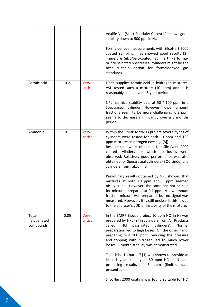|                                   |      |                  | Aculife VIII (Scott Specialty Gases) [2] shows good<br>stability down to 500 ppb in N2.<br>Formaldehyde measurements with SilcoNert 2000<br>coated sampling lines showed good results [3].<br>Therefore SilcoNert-coated, Sulfinert, Performax<br>or pre-selected Spectraseal cylinders might be the<br>best suitable option for formaldehyde gas<br>standards.                                                                                                                                                                                                                      |
|-----------------------------------|------|------------------|--------------------------------------------------------------------------------------------------------------------------------------------------------------------------------------------------------------------------------------------------------------------------------------------------------------------------------------------------------------------------------------------------------------------------------------------------------------------------------------------------------------------------------------------------------------------------------------|
| Formic acid                       | 0.2  | Very<br>critical | Linde supplies formic acid in hydrogen mixtures.<br>VSL tested such a mixture (10 ppm) and it is<br>reasonably stable over a 5-year period.<br>NPL has nice stability data at 50 / 100 ppm in a<br>Spectraseal cylinder. However, lower amount<br>fractions seem to be more challenging: 0.3 ppm<br>seems to decrease significantly over a 3 months<br>period.                                                                                                                                                                                                                       |
| Ammonia                           | 0.1  | Very<br>critical | Within the EMRP MetNH3 project several types of<br>cylinders were tested for both 10 ppm and 100<br>ppm mixtures in nitrogen (see e.g. [8]).<br>Best results were obtained for SilcoNert 2000<br>coated cylinders for which no losses were<br>observed. Relatively good performance was also<br>obtained for Spectraseal cylinders (BOC Linde) and<br>cylinders from Takachiho.<br>Preliminary results obtained by NPL showed that<br>mixtures at both 10 ppm and 1 ppm seemed<br>nicely stable. However, the same can not be said<br>for mixtures prepared at 0.1 ppm. A low amount |
|                                   |      |                  | fraction mixture was prepared, but no signal was<br>measured. However, it is still unclear if this is due<br>to the analyser's LOD or instability of the mixture.                                                                                                                                                                                                                                                                                                                                                                                                                    |
| Total<br>halogenated<br>compounds | 0.05 | Very<br>critical | In the EMRP Biogas project 10 ppm HCl in $N_2$ was<br>prepared by NPL [9] in cylinders from Air Products<br>'HCl<br>passivated<br>called<br>cylinders'.<br>Normal<br>preparation led to high losses. On the other hand,<br>preparing first 100 ppm, reducing the pressure<br>and topping with nitrogen led to much lower<br>losses. 6-month stability was demonstrated.<br>Takachiho T-Coat-II™ [1] was shown to provide at<br>least 1 year stability at 80 ppm HCl in $N_2$ and<br>promising results at 5 ppm<br>(limited)<br>data<br>presented).                                   |
|                                   |      |                  | SilcoNert 2000 coating was found suitable for HCl                                                                                                                                                                                                                                                                                                                                                                                                                                                                                                                                    |